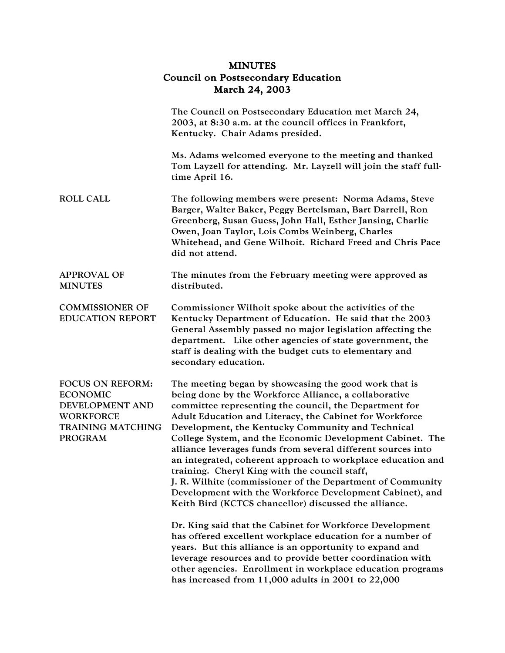## MINUTES Council on Postsecondary Education March 24, 2003

|                                                                                                                                 | The Council on Postsecondary Education met March 24,<br>2003, at 8:30 a.m. at the council offices in Frankfort,<br>Kentucky. Chair Adams presided.                                                                                                                                                                                                                                                                                                                                                                                                                                                                                                                                                                                                                                                                                                                                                                                                                                                                                                                                                  |
|---------------------------------------------------------------------------------------------------------------------------------|-----------------------------------------------------------------------------------------------------------------------------------------------------------------------------------------------------------------------------------------------------------------------------------------------------------------------------------------------------------------------------------------------------------------------------------------------------------------------------------------------------------------------------------------------------------------------------------------------------------------------------------------------------------------------------------------------------------------------------------------------------------------------------------------------------------------------------------------------------------------------------------------------------------------------------------------------------------------------------------------------------------------------------------------------------------------------------------------------------|
|                                                                                                                                 | Ms. Adams welcomed everyone to the meeting and thanked<br>Tom Layzell for attending. Mr. Layzell will join the staff full-<br>time April 16.                                                                                                                                                                                                                                                                                                                                                                                                                                                                                                                                                                                                                                                                                                                                                                                                                                                                                                                                                        |
| <b>ROLL CALL</b>                                                                                                                | The following members were present: Norma Adams, Steve<br>Barger, Walter Baker, Peggy Bertelsman, Bart Darrell, Ron<br>Greenberg, Susan Guess, John Hall, Esther Jansing, Charlie<br>Owen, Joan Taylor, Lois Combs Weinberg, Charles<br>Whitehead, and Gene Wilhoit. Richard Freed and Chris Pace<br>did not attend.                                                                                                                                                                                                                                                                                                                                                                                                                                                                                                                                                                                                                                                                                                                                                                                |
| <b>APPROVAL OF</b><br><b>MINUTES</b>                                                                                            | The minutes from the February meeting were approved as<br>distributed.                                                                                                                                                                                                                                                                                                                                                                                                                                                                                                                                                                                                                                                                                                                                                                                                                                                                                                                                                                                                                              |
| <b>COMMISSIONER OF</b><br><b>EDUCATION REPORT</b>                                                                               | Commissioner Wilhoit spoke about the activities of the<br>Kentucky Department of Education. He said that the 2003<br>General Assembly passed no major legislation affecting the<br>department. Like other agencies of state government, the<br>staff is dealing with the budget cuts to elementary and<br>secondary education.                                                                                                                                                                                                                                                                                                                                                                                                                                                                                                                                                                                                                                                                                                                                                                      |
| <b>FOCUS ON REFORM:</b><br><b>ECONOMIC</b><br>DEVELOPMENT AND<br><b>WORKFORCE</b><br><b>TRAINING MATCHING</b><br><b>PROGRAM</b> | The meeting began by showcasing the good work that is<br>being done by the Workforce Alliance, a collaborative<br>committee representing the council, the Department for<br>Adult Education and Literacy, the Cabinet for Workforce<br>Development, the Kentucky Community and Technical<br>College System, and the Economic Development Cabinet. The<br>alliance leverages funds from several different sources into<br>an integrated, coherent approach to workplace education and<br>training. Cheryl King with the council staff,<br>J. R. Wilhite (commissioner of the Department of Community<br>Development with the Workforce Development Cabinet), and<br>Keith Bird (KCTCS chancellor) discussed the alliance.<br>Dr. King said that the Cabinet for Workforce Development<br>has offered excellent workplace education for a number of<br>years. But this alliance is an opportunity to expand and<br>leverage resources and to provide better coordination with<br>other agencies. Enrollment in workplace education programs<br>has increased from $11,000$ adults in 2001 to $22,000$ |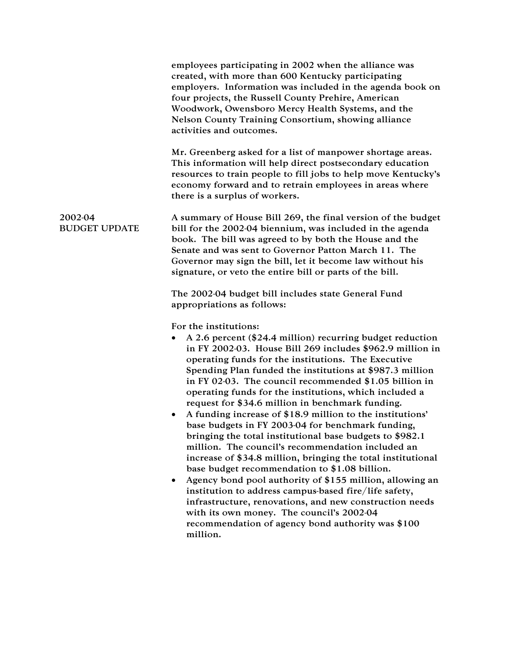|                                 | employees participating in 2002 when the alliance was<br>created, with more than 600 Kentucky participating<br>employers. Information was included in the agenda book on<br>four projects, the Russell County Prehire, American<br>Woodwork, Owensboro Mercy Health Systems, and the<br>Nelson County Training Consortium, showing alliance<br>activities and outcomes.                                                                                                                                                                                                                                                                                                                                                                                                                                                                                                                                                                                                                                                                                                                                 |
|---------------------------------|---------------------------------------------------------------------------------------------------------------------------------------------------------------------------------------------------------------------------------------------------------------------------------------------------------------------------------------------------------------------------------------------------------------------------------------------------------------------------------------------------------------------------------------------------------------------------------------------------------------------------------------------------------------------------------------------------------------------------------------------------------------------------------------------------------------------------------------------------------------------------------------------------------------------------------------------------------------------------------------------------------------------------------------------------------------------------------------------------------|
|                                 | Mr. Greenberg asked for a list of manpower shortage areas.<br>This information will help direct postsecondary education<br>resources to train people to fill jobs to help move Kentucky's<br>economy forward and to retrain employees in areas where<br>there is a surplus of workers.                                                                                                                                                                                                                                                                                                                                                                                                                                                                                                                                                                                                                                                                                                                                                                                                                  |
| 2002-04<br><b>BUDGET UPDATE</b> | A summary of House Bill 269, the final version of the budget<br>bill for the 2002-04 biennium, was included in the agenda<br>book. The bill was agreed to by both the House and the<br>Senate and was sent to Governor Patton March 11. The<br>Governor may sign the bill, let it become law without his<br>signature, or veto the entire bill or parts of the bill.                                                                                                                                                                                                                                                                                                                                                                                                                                                                                                                                                                                                                                                                                                                                    |
|                                 | The 2002-04 budget bill includes state General Fund<br>appropriations as follows:                                                                                                                                                                                                                                                                                                                                                                                                                                                                                                                                                                                                                                                                                                                                                                                                                                                                                                                                                                                                                       |
|                                 | For the institutions:<br>A 2.6 percent (\$24.4 million) recurring budget reduction<br>٠<br>in FY 2002-03. House Bill 269 includes \$962.9 million in<br>operating funds for the institutions. The Executive<br>Spending Plan funded the institutions at \$987.3 million<br>in FY 02-03. The council recommended $$1.05$ billion in<br>operating funds for the institutions, which included a<br>request for \$34.6 million in benchmark funding.<br>A funding increase of \$18.9 million to the institutions'<br>base budgets in FY 2003-04 for benchmark funding,<br>bringing the total institutional base budgets to \$982.1<br>million. The council's recommendation included an<br>increase of \$34.8 million, bringing the total institutional<br>base budget recommendation to \$1.08 billion.<br>Agency bond pool authority of \$155 million, allowing an<br>٠<br>institution to address campus-based fire/life safety,<br>infrastructure, renovations, and new construction needs<br>with its own money. The council's 2002-04<br>recommendation of agency bond authority was \$100<br>million. |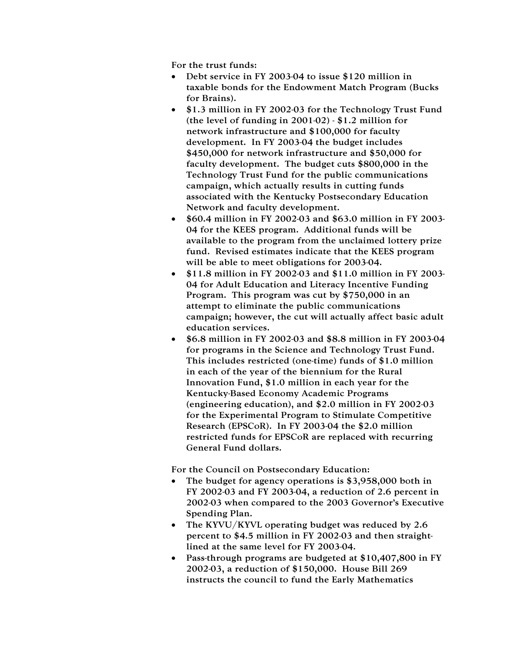For the trust funds:

- Debt service in FY 2003-04 to issue \$120 million in taxable bonds for the Endowment Match Program (Bucks for Brains).
- \$1.3 million in FY 2002-03 for the Technology Trust Fund (the level of funding in 2001-02) - \$1.2 million for network infrastructure and \$100,000 for faculty development. In FY 2003-04 the budget includes \$450,000 for network infrastructure and \$50,000 for faculty development. The budget cuts \$800,000 in the Technology Trust Fund for the public communications campaign, which actually results in cutting funds associated with the Kentucky Postsecondary Education Network and faculty development.
- \$60.4 million in FY 2002-03 and \$63.0 million in FY 2003- 04 for the KEES program. Additional funds will be available to the program from the unclaimed lottery prize fund. Revised estimates indicate that the KEES program will be able to meet obligations for 2003-04.
- \$11.8 million in FY 2002-03 and \$11.0 million in FY 2003- 04 for Adult Education and Literacy Incentive Funding Program. This program was cut by \$750,000 in an attempt to eliminate the public communications campaign; however, the cut will actually affect basic adult education services.
- \$6.8 million in FY 2002-03 and \$8.8 million in FY 2003-04 for programs in the Science and Technology Trust Fund. This includes restricted (one-time) funds of \$1.0 million in each of the year of the biennium for the Rural Innovation Fund, \$1.0 million in each year for the Kentucky-Based Economy Academic Programs (engineering education), and \$2.0 million in FY 2002-03 for the Experimental Program to Stimulate Competitive Research (EPSCoR). In FY 2003-04 the \$2.0 million restricted funds for EPSCoR are replaced with recurring General Fund dollars.

For the Council on Postsecondary Education:

- The budget for agency operations is \$3,958,000 both in FY 2002-03 and FY 2003-04, a reduction of 2.6 percent in 2002-03 when compared to the 2003 Governor's Executive Spending Plan.
- The KYVU/KYVL operating budget was reduced by 2.6 percent to \$4.5 million in FY 2002-03 and then straightlined at the same level for FY 2003-04.
- Pass-through programs are budgeted at \$10,407,800 in FY 2002-03, a reduction of \$150,000. House Bill 269 instructs the council to fund the Early Mathematics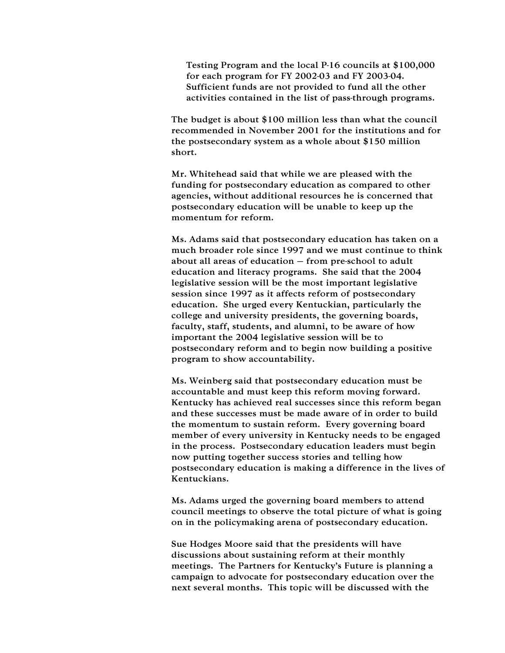Testing Program and the local P-16 councils at \$100,000 for each program for FY 2002-03 and FY 2003-04. Sufficient funds are not provided to fund all the other activities contained in the list of pass-through programs.

The budget is about \$100 million less than what the council recommended in November 2001 for the institutions and for the postsecondary system as a whole about \$150 million short.

Mr. Whitehead said that while we are pleased with the funding for postsecondary education as compared to other agencies, without additional resources he is concerned that postsecondary education will be unable to keep up the momentum for reform.

Ms. Adams said that postsecondary education has taken on a much broader role since 1997 and we must continue to think about all areas of education – from pre-school to adult education and literacy programs. She said that the 2004 legislative session will be the most important legislative session since 1997 as it affects reform of postsecondary education. She urged every Kentuckian, particularly the college and university presidents, the governing boards, faculty, staff, students, and alumni, to be aware of how important the 2004 legislative session will be to postsecondary reform and to begin now building a positive program to show accountability.

Ms. Weinberg said that postsecondary education must be accountable and must keep this reform moving forward. Kentucky has achieved real successes since this reform began and these successes must be made aware of in order to build the momentum to sustain reform. Every governing board member of every university in Kentucky needs to be engaged in the process. Postsecondary education leaders must begin now putting together success stories and telling how postsecondary education is making a difference in the lives of Kentuckians.

Ms. Adams urged the governing board members to attend council meetings to observe the total picture of what is going on in the policymaking arena of postsecondary education.

Sue Hodges Moore said that the presidents will have discussions about sustaining reform at their monthly meetings. The Partners for Kentucky's Future is planning a campaign to advocate for postsecondary education over the next several months. This topic will be discussed with the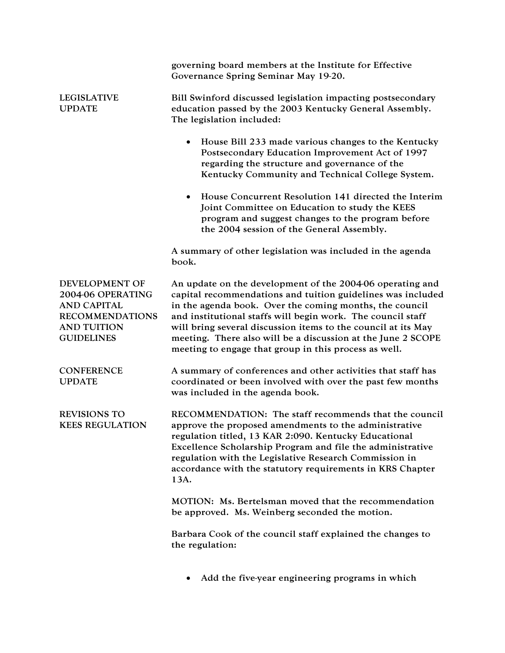|                                                                                                                                | governing board members at the Institute for Effective<br>Governance Spring Seminar May 19-20.                                                                                                                                                                                                                                                                                                                                               |
|--------------------------------------------------------------------------------------------------------------------------------|----------------------------------------------------------------------------------------------------------------------------------------------------------------------------------------------------------------------------------------------------------------------------------------------------------------------------------------------------------------------------------------------------------------------------------------------|
| <b>LEGISLATIVE</b><br><b>UPDATE</b>                                                                                            | Bill Swinford discussed legislation impacting postsecondary<br>education passed by the 2003 Kentucky General Assembly.<br>The legislation included:                                                                                                                                                                                                                                                                                          |
|                                                                                                                                | House Bill 233 made various changes to the Kentucky<br>Postsecondary Education Improvement Act of 1997<br>regarding the structure and governance of the<br>Kentucky Community and Technical College System.                                                                                                                                                                                                                                  |
|                                                                                                                                | House Concurrent Resolution 141 directed the Interim<br>Joint Committee on Education to study the KEES<br>program and suggest changes to the program before<br>the 2004 session of the General Assembly.                                                                                                                                                                                                                                     |
|                                                                                                                                | A summary of other legislation was included in the agenda<br>book.                                                                                                                                                                                                                                                                                                                                                                           |
| DEVELOPMENT OF<br>2004-06 OPERATING<br><b>AND CAPITAL</b><br><b>RECOMMENDATIONS</b><br><b>AND TUITION</b><br><b>GUIDELINES</b> | An update on the development of the 2004-06 operating and<br>capital recommendations and tuition guidelines was included<br>in the agenda book. Over the coming months, the council<br>and institutional staffs will begin work. The council staff<br>will bring several discussion items to the council at its May<br>meeting. There also will be a discussion at the June 2 SCOPE<br>meeting to engage that group in this process as well. |
| <b>CONFERENCE</b><br><b>UPDATE</b>                                                                                             | A summary of conferences and other activities that staff has<br>coordinated or been involved with over the past few months<br>was included in the agenda book.                                                                                                                                                                                                                                                                               |
| <b>REVISIONS TO</b><br><b>KEES REGULATION</b>                                                                                  | RECOMMENDATION: The staff recommends that the council<br>approve the proposed amendments to the administrative<br>regulation titled, 13 KAR 2:090. Kentucky Educational<br>Excellence Scholarship Program and file the administrative<br>regulation with the Legislative Research Commission in<br>accordance with the statutory requirements in KRS Chapter<br>13A.                                                                         |
|                                                                                                                                | MOTION: Ms. Bertelsman moved that the recommendation<br>be approved. Ms. Weinberg seconded the motion.                                                                                                                                                                                                                                                                                                                                       |
|                                                                                                                                | Barbara Cook of the council staff explained the changes to<br>the regulation:                                                                                                                                                                                                                                                                                                                                                                |
|                                                                                                                                | Add the five-year engineering programs in which                                                                                                                                                                                                                                                                                                                                                                                              |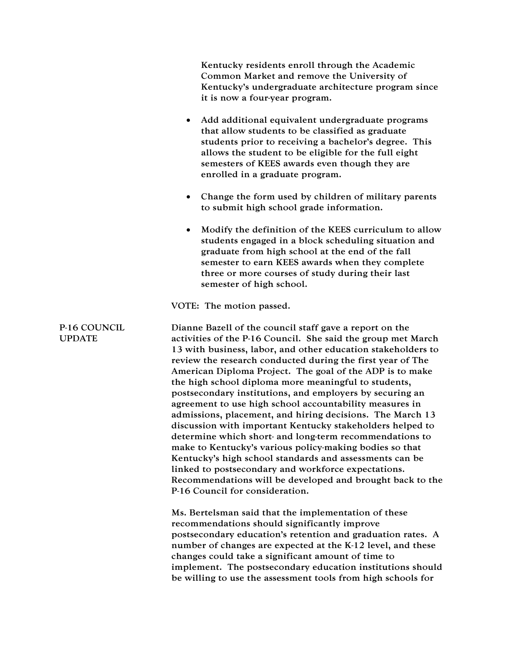|                               | Kentucky residents enroll through the Academic<br>Common Market and remove the University of<br>Kentucky's undergraduate architecture program since<br>it is now a four-year program.                                                                                                                                                                                                                                                                                                                                                                                                                                                                                                                                                                                                                                                                                                                                                                              |
|-------------------------------|--------------------------------------------------------------------------------------------------------------------------------------------------------------------------------------------------------------------------------------------------------------------------------------------------------------------------------------------------------------------------------------------------------------------------------------------------------------------------------------------------------------------------------------------------------------------------------------------------------------------------------------------------------------------------------------------------------------------------------------------------------------------------------------------------------------------------------------------------------------------------------------------------------------------------------------------------------------------|
|                               | Add additional equivalent undergraduate programs<br>$\bullet$<br>that allow students to be classified as graduate<br>students prior to receiving a bachelor's degree. This<br>allows the student to be eligible for the full eight<br>semesters of KEES awards even though they are<br>enrolled in a graduate program.                                                                                                                                                                                                                                                                                                                                                                                                                                                                                                                                                                                                                                             |
|                               | Change the form used by children of military parents<br>$\bullet$<br>to submit high school grade information.                                                                                                                                                                                                                                                                                                                                                                                                                                                                                                                                                                                                                                                                                                                                                                                                                                                      |
|                               | Modify the definition of the KEES curriculum to allow<br>$\bullet$<br>students engaged in a block scheduling situation and<br>graduate from high school at the end of the fall<br>semester to earn KEES awards when they complete<br>three or more courses of study during their last<br>semester of high school.                                                                                                                                                                                                                                                                                                                                                                                                                                                                                                                                                                                                                                                  |
|                               | VOTE: The motion passed.                                                                                                                                                                                                                                                                                                                                                                                                                                                                                                                                                                                                                                                                                                                                                                                                                                                                                                                                           |
| P-16 COUNCIL<br><b>UPDATE</b> | Dianne Bazell of the council staff gave a report on the<br>activities of the P-16 Council. She said the group met March<br>13 with business, labor, and other education stakeholders to<br>review the research conducted during the first year of The<br>American Diploma Project. The goal of the ADP is to make<br>the high school diploma more meaningful to students,<br>postsecondary institutions, and employers by securing an<br>agreement to use high school accountability measures in<br>admissions, placement, and hiring decisions. The March 13<br>discussion with important Kentucky stakeholders helped to<br>determine which short- and long-term recommendations to<br>make to Kentucky's various policy-making bodies so that<br>Kentucky's high school standards and assessments can be<br>linked to postsecondary and workforce expectations.<br>Recommendations will be developed and brought back to the<br>P-16 Council for consideration. |
|                               | Ms. Bertelsman said that the implementation of these<br>recommendations should significantly improve<br>postsecondary education's retention and graduation rates. A<br>number of changes are expected at the K-12 level, and these<br>changes could take a significant amount of time to<br>implement. The postsecondary education institutions should<br>be willing to use the assessment tools from high schools for                                                                                                                                                                                                                                                                                                                                                                                                                                                                                                                                             |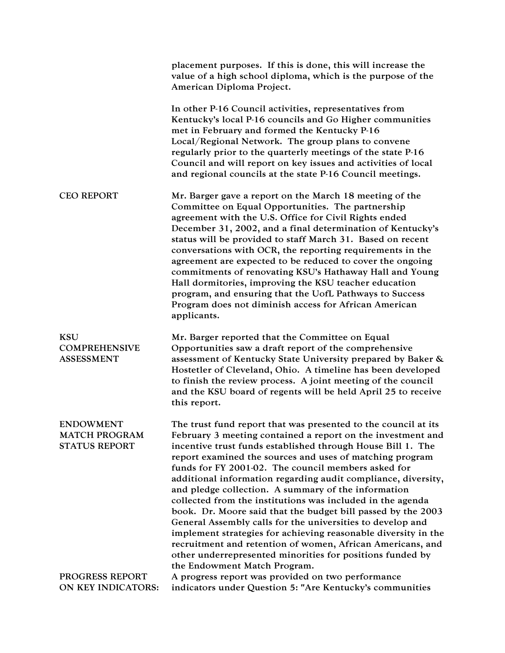|                                                                  | placement purposes. If this is done, this will increase the<br>value of a high school diploma, which is the purpose of the<br>American Diploma Project.                                                                                                                                                                                                                                                                                                                                                                                                                                                                                                                                                                                                                                                                                                          |
|------------------------------------------------------------------|------------------------------------------------------------------------------------------------------------------------------------------------------------------------------------------------------------------------------------------------------------------------------------------------------------------------------------------------------------------------------------------------------------------------------------------------------------------------------------------------------------------------------------------------------------------------------------------------------------------------------------------------------------------------------------------------------------------------------------------------------------------------------------------------------------------------------------------------------------------|
|                                                                  | In other P-16 Council activities, representatives from<br>Kentucky's local P-16 councils and Go Higher communities<br>met in February and formed the Kentucky P-16<br>Local/Regional Network. The group plans to convene<br>regularly prior to the quarterly meetings of the state P-16<br>Council and will report on key issues and activities of local<br>and regional councils at the state P-16 Council meetings.                                                                                                                                                                                                                                                                                                                                                                                                                                            |
| <b>CEO REPORT</b>                                                | Mr. Barger gave a report on the March 18 meeting of the<br>Committee on Equal Opportunities. The partnership<br>agreement with the U.S. Office for Civil Rights ended<br>December 31, 2002, and a final determination of Kentucky's<br>status will be provided to staff March 31. Based on recent<br>conversations with OCR, the reporting requirements in the<br>agreement are expected to be reduced to cover the ongoing<br>commitments of renovating KSU's Hathaway Hall and Young<br>Hall dormitories, improving the KSU teacher education<br>program, and ensuring that the UofL Pathways to Success<br>Program does not diminish access for African American<br>applicants.                                                                                                                                                                               |
| <b>KSU</b><br><b>COMPREHENSIVE</b><br><b>ASSESSMENT</b>          | Mr. Barger reported that the Committee on Equal<br>Opportunities saw a draft report of the comprehensive<br>assessment of Kentucky State University prepared by Baker &<br>Hostetler of Cleveland, Ohio. A timeline has been developed<br>to finish the review process. A joint meeting of the council<br>and the KSU board of regents will be held April 25 to receive<br>this report.                                                                                                                                                                                                                                                                                                                                                                                                                                                                          |
| <b>ENDOWMENT</b><br><b>MATCH PROGRAM</b><br><b>STATUS REPORT</b> | The trust fund report that was presented to the council at its<br>February 3 meeting contained a report on the investment and<br>incentive trust funds established through House Bill 1. The<br>report examined the sources and uses of matching program<br>funds for FY 2001-02. The council members asked for<br>additional information regarding audit compliance, diversity,<br>and pledge collection. A summary of the information<br>collected from the institutions was included in the agenda<br>book. Dr. Moore said that the budget bill passed by the 2003<br>General Assembly calls for the universities to develop and<br>implement strategies for achieving reasonable diversity in the<br>recruitment and retention of women, African Americans, and<br>other underrepresented minorities for positions funded by<br>the Endowment Match Program. |
| PROGRESS REPORT<br>ON KEY INDICATORS:                            | A progress report was provided on two performance<br>indicators under Question 5: "Are Kentucky's communities                                                                                                                                                                                                                                                                                                                                                                                                                                                                                                                                                                                                                                                                                                                                                    |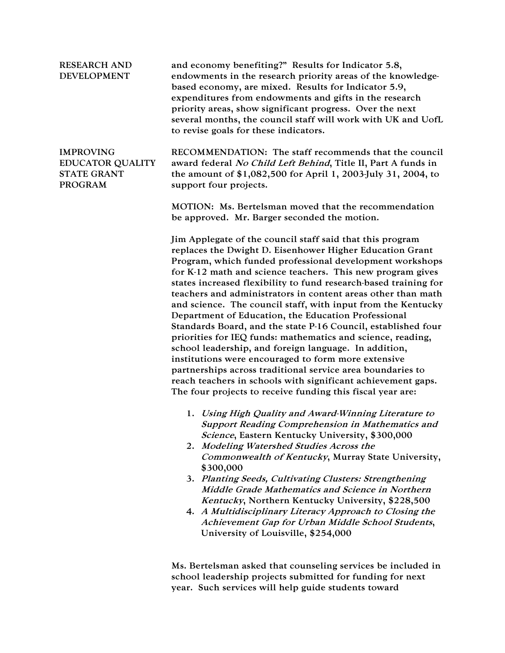| <b>RESEARCH AND</b><br><b>DEVELOPMENT</b>                                           | and economy benefiting?" Results for Indicator 5.8,<br>endowments in the research priority areas of the knowledge-<br>based economy, are mixed. Results for Indicator 5.9,<br>expenditures from endowments and gifts in the research<br>priority areas, show significant progress. Over the next<br>several months, the council staff will work with UK and UofL<br>to revise goals for these indicators.                                                                                                                                                                                                                                                                                                                                                                                                                                                                                                                                              |
|-------------------------------------------------------------------------------------|--------------------------------------------------------------------------------------------------------------------------------------------------------------------------------------------------------------------------------------------------------------------------------------------------------------------------------------------------------------------------------------------------------------------------------------------------------------------------------------------------------------------------------------------------------------------------------------------------------------------------------------------------------------------------------------------------------------------------------------------------------------------------------------------------------------------------------------------------------------------------------------------------------------------------------------------------------|
| <b>IMPROVING</b><br><b>EDUCATOR QUALITY</b><br><b>STATE GRANT</b><br><b>PROGRAM</b> | RECOMMENDATION: The staff recommends that the council<br>award federal No Child Left Behind, Title II, Part A funds in<br>the amount of \$1,082,500 for April 1, 2003-July 31, 2004, to<br>support four projects.                                                                                                                                                                                                                                                                                                                                                                                                                                                                                                                                                                                                                                                                                                                                      |
|                                                                                     | MOTION: Ms. Bertelsman moved that the recommendation<br>be approved. Mr. Barger seconded the motion.                                                                                                                                                                                                                                                                                                                                                                                                                                                                                                                                                                                                                                                                                                                                                                                                                                                   |
|                                                                                     | Jim Applegate of the council staff said that this program<br>replaces the Dwight D. Eisenhower Higher Education Grant<br>Program, which funded professional development workshops<br>for K-12 math and science teachers. This new program gives<br>states increased flexibility to fund research-based training for<br>teachers and administrators in content areas other than math<br>and science. The council staff, with input from the Kentucky<br>Department of Education, the Education Professional<br>Standards Board, and the state P-16 Council, established four<br>priorities for IEQ funds: mathematics and science, reading,<br>school leadership, and foreign language. In addition,<br>institutions were encouraged to form more extensive<br>partnerships across traditional service area boundaries to<br>reach teachers in schools with significant achievement gaps.<br>The four projects to receive funding this fiscal year are: |
|                                                                                     | 1. Using High Quality and Award-Winning Literature to<br>Support Reading Comprehension in Mathematics and<br>Science, Eastern Kentucky University, \$300,000<br>2. Modeling Watershed Studies Across the<br>Commonwealth of Kentucky, Murray State University,                                                                                                                                                                                                                                                                                                                                                                                                                                                                                                                                                                                                                                                                                         |
|                                                                                     | \$300,000<br>3. Planting Seeds, Cultivating Clusters: Strengthening<br>Middle Grade Mathematics and Science in Northern<br>Kentucky, Northern Kentucky University, \$228,500<br>4. A Multidisciplinary Literacy Approach to Closing the<br>Achievement Gap for Urban Middle School Students,<br>University of Louisville, \$254,000                                                                                                                                                                                                                                                                                                                                                                                                                                                                                                                                                                                                                    |
|                                                                                     | Ms. Bertelsman asked that counseling services be included in                                                                                                                                                                                                                                                                                                                                                                                                                                                                                                                                                                                                                                                                                                                                                                                                                                                                                           |

school leadership projects submitted for funding for next year. Such services will help guide students toward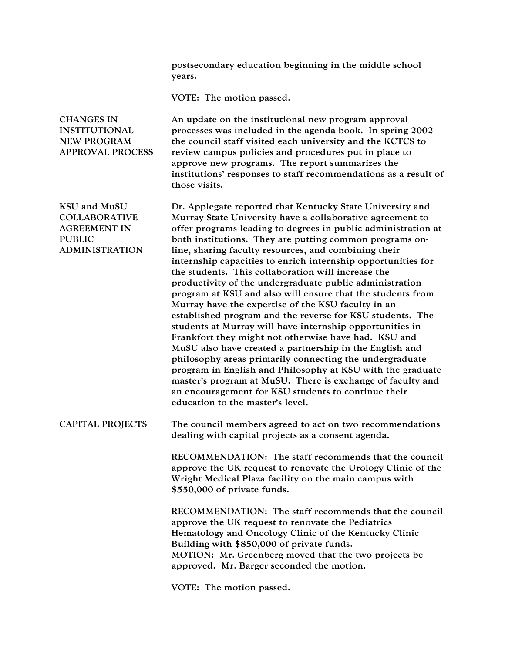postsecondary education beginning in the middle school years. VOTE: The motion passed. CHANGES IN INSTITUTIONAL NEW PROGRAM APPROVAL PROCESS An update on the institutional new program approval processes was included in the agenda book. In spring 2002 the council staff visited each university and the KCTCS to review campus policies and procedures put in place to approve new programs. The report summarizes the institutions' responses to staff recommendations as a result of those visits. KSU and MuSU COLLABORATIVE AGREEMENT IN PUBLIC ADMINISTRATION Dr. Applegate reported that Kentucky State University and Murray State University have a collaborative agreement to offer programs leading to degrees in public administration at both institutions. They are putting common programs online, sharing faculty resources, and combining their internship capacities to enrich internship opportunities for the students. This collaboration will increase the productivity of the undergraduate public administration program at KSU and also will ensure that the students from Murray have the expertise of the KSU faculty in an established program and the reverse for KSU students. The students at Murray will have internship opportunities in Frankfort they might not otherwise have had. KSU and MuSU also have created a partnership in the English and philosophy areas primarily connecting the undergraduate program in English and Philosophy at KSU with the graduate master's program at MuSU. There is exchange of faculty and an encouragement for KSU students to continue their education to the master's level. CAPITAL PROJECTS The council members agreed to act on two recommendations dealing with capital projects as a consent agenda. RECOMMENDATION: The staff recommends that the council approve the UK request to renovate the Urology Clinic of the Wright Medical Plaza facility on the main campus with \$550,000 of private funds. RECOMMENDATION: The staff recommends that the council approve the UK request to renovate the Pediatrics Hematology and Oncology Clinic of the Kentucky Clinic Building with \$850,000 of private funds. MOTION: Mr. Greenberg moved that the two projects be approved. Mr. Barger seconded the motion.

VOTE: The motion passed.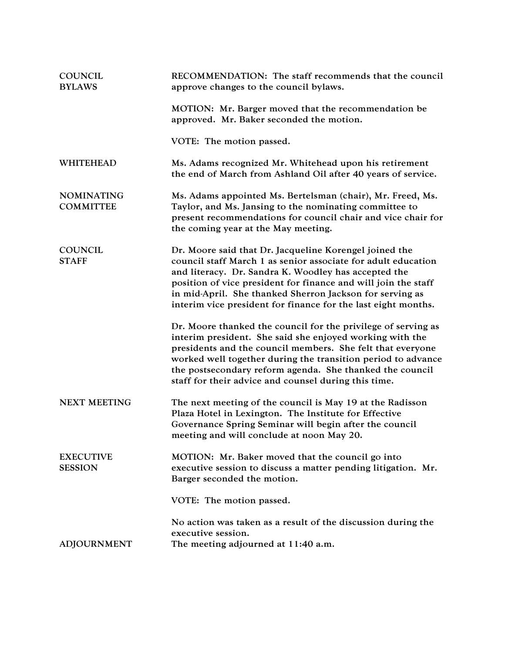| <b>COUNCIL</b><br><b>BYLAWS</b>       | RECOMMENDATION: The staff recommends that the council<br>approve changes to the council bylaws.                                                                                                                                                                                                                                                                                |
|---------------------------------------|--------------------------------------------------------------------------------------------------------------------------------------------------------------------------------------------------------------------------------------------------------------------------------------------------------------------------------------------------------------------------------|
|                                       | MOTION: Mr. Barger moved that the recommendation be<br>approved. Mr. Baker seconded the motion.                                                                                                                                                                                                                                                                                |
|                                       | VOTE: The motion passed.                                                                                                                                                                                                                                                                                                                                                       |
| <b>WHITEHEAD</b>                      | Ms. Adams recognized Mr. Whitehead upon his retirement<br>the end of March from Ashland Oil after 40 years of service.                                                                                                                                                                                                                                                         |
| <b>NOMINATING</b><br><b>COMMITTEE</b> | Ms. Adams appointed Ms. Bertelsman (chair), Mr. Freed, Ms.<br>Taylor, and Ms. Jansing to the nominating committee to<br>present recommendations for council chair and vice chair for<br>the coming year at the May meeting.                                                                                                                                                    |
| <b>COUNCIL</b><br><b>STAFF</b>        | Dr. Moore said that Dr. Jacqueline Korengel joined the<br>council staff March 1 as senior associate for adult education<br>and literacy. Dr. Sandra K. Woodley has accepted the<br>position of vice president for finance and will join the staff<br>in mid-April. She thanked Sherron Jackson for serving as<br>interim vice president for finance for the last eight months. |
|                                       | Dr. Moore thanked the council for the privilege of serving as<br>interim president. She said she enjoyed working with the<br>presidents and the council members. She felt that everyone<br>worked well together during the transition period to advance<br>the postsecondary reform agenda. She thanked the council<br>staff for their advice and counsel during this time.    |
| <b>NEXT MEETING</b>                   | The next meeting of the council is May 19 at the Radisson<br>Plaza Hotel in Lexington. The Institute for Effective<br>Governance Spring Seminar will begin after the council<br>meeting and will conclude at noon May 20.                                                                                                                                                      |
| <b>EXECUTIVE</b><br><b>SESSION</b>    | MOTION: Mr. Baker moved that the council go into<br>executive session to discuss a matter pending litigation. Mr.<br>Barger seconded the motion.                                                                                                                                                                                                                               |
|                                       | VOTE: The motion passed.                                                                                                                                                                                                                                                                                                                                                       |
| <b>ADJOURNMENT</b>                    | No action was taken as a result of the discussion during the<br>executive session.<br>The meeting adjourned at 11:40 a.m.                                                                                                                                                                                                                                                      |